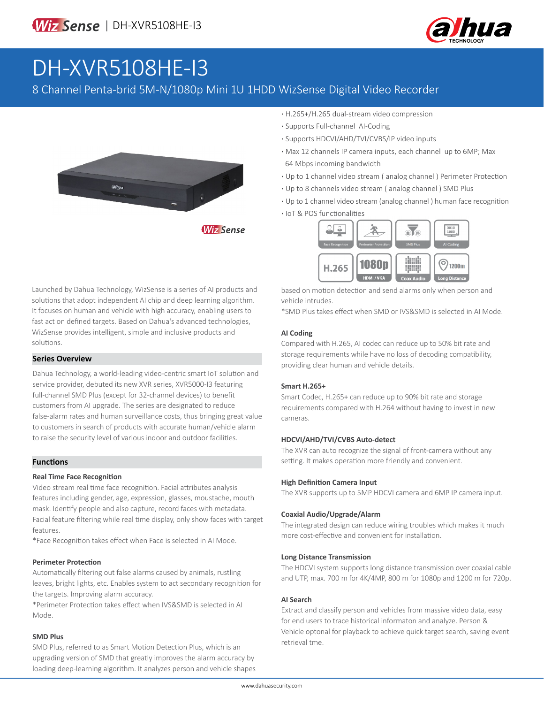

# DH-XVR5108HE-I3

### 8 Channel Penta-brid 5M-N/1080p Mini 1U 1HDD WizSense Digital Video Recorder



**Wiz Sense** 

- **·** H.265+/H.265 dual-stream video compression
- **·** Supports Full-channel AI-Coding
- **·** Supports HDCVI/AHD/TVI/CVBS/IP video inputs
- **·** Max 12 channels IP camera inputs, each channel up to 6MP; Max 64 Mbps incoming bandwidth
- **·** Up to 1 channel video stream ( analog channel ) Perimeter Protection
- **·** Up to 8 channels video stream ( analog channel ) SMD Plus
- **·** Up to 1 channel video stream (analog channel ) human face recognition
- **·** IoT & POS functionalities



based on motion detection and send alarms only when person and vehicle intrudes.

\*SMD Plus takes effect when SMD or IVS&SMD is selected in AI Mode.

#### **AI Coding**

Compared with H.265, AI codec can reduce up to 50% bit rate and storage requirements while have no loss of decoding compatibility, providing clear human and vehicle details.

#### **Smart H.265+**

Smart Codec, H.265+ can reduce up to 90% bit rate and storage requirements compared with H.264 without having to invest in new cameras.

#### **HDCVI/AHD/TVI/CVBS Auto-detect**

The XVR can auto recognize the signal of front-camera without any setting. It makes operation more friendly and convenient.

#### **High Definition Camera Input**

The XVR supports up to 5MP HDCVI camera and 6MP IP camera input.

#### **Coaxial Audio/Upgrade/Alarm**

The integrated design can reduce wiring troubles which makes it much more cost-effective and convenient for installation.

#### **Long Distance Transmission**

The HDCVI system supports long distance transmission over coaxial cable and UTP, max. 700 m for 4K/4MP, 800 m for 1080p and 1200 m for 720p.

#### **AI Search**

Extract and classify person and vehicles from massive video data, easy for end users to trace historical informaton and analyze. Person & Vehicle optonal for playback to achieve quick target search, saving event retrieval tme.

Launched by Dahua Technology, WizSense is a series of AI products and solutions that adopt independent AI chip and deep learning algorithm. It focuses on human and vehicle with high accuracy, enabling users to fast act on defined targets. Based on Dahua's advanced technologies, WizSense provides intelligent, simple and inclusive products and solutions.

#### **Series Overview**

Dahua Technology, a world-leading video-centric smart IoT solution and service provider, debuted its new XVR series, XVR5000-I3 featuring full-channel SMD Plus (except for 32-channel devices) to benefit customers from AI upgrade. The series are designated to reduce false-alarm rates and human surveillance costs, thus bringing great value to customers in search of products with accurate human/vehicle alarm to raise the security level of various indoor and outdoor facilities.

#### **Functions**

#### **Real Time Face Recognition**

Video stream real time face recognition. Facial attributes analysis features including gender, age, expression, glasses, moustache, mouth mask. Identify people and also capture, record faces with metadata. Facial feature filtering while real time display, only show faces with target features.

\*Face Recognition takes effect when Face is selected in AI Mode.

#### **Perimeter Protection**

Automatically filtering out false alarms caused by animals, rustling leaves, bright lights, etc. Enables system to act secondary recognition for the targets. Improving alarm accuracy.

\*Perimeter Protection takes effect when IVS&SMD is selected in AI Mode.

#### **SMD Plus**

SMD Plus, referred to as Smart Motion Detection Plus, which is an upgrading version of SMD that greatly improves the alarm accuracy by loading deep-learning algorithm. It analyzes person and vehicle shapes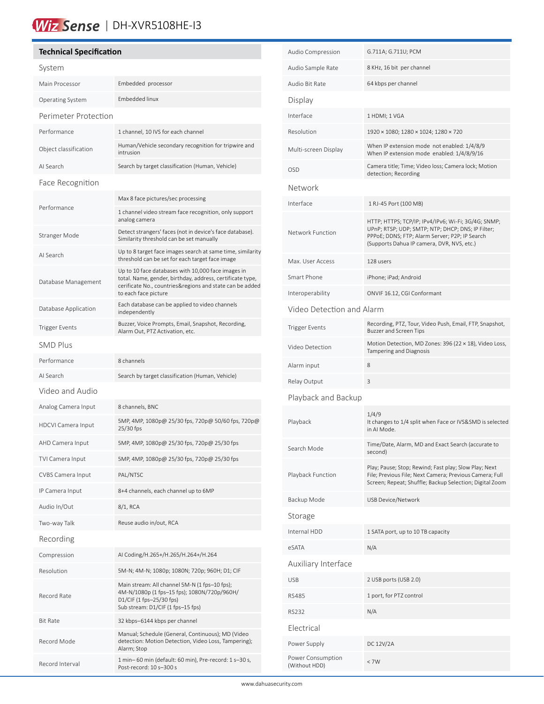## Wiz Sense | DH-XVR5108HE-13

#### **Technical Specification** System Main Processor Embedded processor Operating System Embedded linux Perimeter Protection Performance 1 channel, 10 IVS for each channel Object classification Human/Vehicle secondary recognition for tripwire and intrusion AI Search Search by target classification (Human, Vehicle) Face Recognition Performance Max 8 face pictures/sec processing 1 channel video stream face recognition, only support analog camera Stranger Mode Detect strangers' faces (not in device's face database). Similarity threshold can be set manually AI Search Up to 8 target face images search at same time, similarity threshold can be set for each target face image Database Management Up to 10 face databases with 10,000 face images in total. Name, gender, birthday, address, certificate type, cerificate No., countries&regions and state can be added to each face picture Database Application Each database can be applied to video channels independently Trigger Events<br>Alarm Out, PT7 Astivation ate Alarm Out, PTZ Activation, etc. SMD Plus Performance 8 channels AI Search Search by target classification (Human, Vehicle) Video and Audio Analog Camera Input 8 channels, BNC HDCVI Camera Input 5MP, 4MP, 1080p@ 25/30 fps, 720p@ 50/60 fps, 720p@ 25/30 fps AHD Camera Input 5MP, 4MP, 1080p@ 25/30 fps, 720p@ 25/30 fps TVI Camera Input 5MP, 4MP, 1080p@ 25/30 fps, 720p@ 25/30 fps CVBS Camera Input PAL/NTSC IP Camera Input 8+4 channels, each channel up to 6MP Audio In/Out 8/1, RCA Two-way Talk Reuse audio in/out, RCA Recording Compression AI Coding/H.265+/H.265/H.264+/H.264 Resolution 5M-N; 4M-N; 1080p; 1080N; 720p; 960H; D1; CIF Record Rate Main stream: All channel 5M-N (1 fps–10 fps); 4M-N/1080p (1 fps–15 fps); 1080N/720p/960H/ D1/CIF (1 fps–25/30 fps) Sub stream: D1/CIF (1 fps–15 fps) Bit Rate 32 kbps–6144 kbps per channel Record Mode Manual; Schedule (General, Continuous); MD (Video detection: Motion Detection, Video Loss, Tampering); Alarm; Stop Record Interval 1 min– 60 min (default: 60 min), Pre-record: 1 s–30 s,

Post-record: 10 s–300 s

í

| Audio Compression                  | G.711A; G.711U; PCM                                                                                                                                                                                      |  |  |  |
|------------------------------------|----------------------------------------------------------------------------------------------------------------------------------------------------------------------------------------------------------|--|--|--|
| Audio Sample Rate                  | 8 KHz, 16 bit per channel                                                                                                                                                                                |  |  |  |
| Audio Bit Rate                     | 64 kbps per channel                                                                                                                                                                                      |  |  |  |
| Display                            |                                                                                                                                                                                                          |  |  |  |
| Interface                          | 1 HDMI; 1 VGA                                                                                                                                                                                            |  |  |  |
| Resolution                         | 1920 × 1080; 1280 × 1024; 1280 × 720                                                                                                                                                                     |  |  |  |
| Multi-screen Display               | When IP extension mode not enabled: 1/4/8/9<br>When IP extension mode enabled: 1/4/8/9/16                                                                                                                |  |  |  |
| <b>OSD</b>                         | Camera title; Time; Video loss; Camera lock; Motion<br>detection; Recording                                                                                                                              |  |  |  |
| Network                            |                                                                                                                                                                                                          |  |  |  |
| Interface                          | 1 RJ-45 Port (100 MB)                                                                                                                                                                                    |  |  |  |
| Network Function                   | HTTP; HTTPS; TCP/IP; IPv4/IPv6; Wi-Fi; 3G/4G; SNMP;<br>UPnP; RTSP; UDP; SMTP; NTP; DHCP; DNS; IP Filter;<br>PPPoE; DDNS; FTP; Alarm Server; P2P; IP Search<br>(Supports Dahua IP camera, DVR, NVS, etc.) |  |  |  |
| Max. User Access                   | 128 users                                                                                                                                                                                                |  |  |  |
| Smart Phone                        | iPhone; iPad; Android                                                                                                                                                                                    |  |  |  |
| Interoperability                   | ONVIF 16.12, CGI Conformant                                                                                                                                                                              |  |  |  |
| Video Detection and Alarm          |                                                                                                                                                                                                          |  |  |  |
| <b>Trigger Events</b>              | Recording, PTZ, Tour, Video Push, Email, FTP, Snapshot,<br>Buzzer and Screen Tips                                                                                                                        |  |  |  |
| Video Detection                    | Motion Detection, MD Zones: 396 (22 × 18), Video Loss,<br>Tampering and Diagnosis                                                                                                                        |  |  |  |
| Alarm input                        | 8                                                                                                                                                                                                        |  |  |  |
| Relay Output                       | 3                                                                                                                                                                                                        |  |  |  |
| Playback and Backup                |                                                                                                                                                                                                          |  |  |  |
| Playback                           | 1/4/9<br>It changes to 1/4 split when Face or IVS&SMD is selected<br>in AI Mode.                                                                                                                         |  |  |  |
| Search Mode                        | Time/Date, Alarm, MD and Exact Search (accurate to<br>second)                                                                                                                                            |  |  |  |
| Playback Function                  | Play; Pause; Stop; Rewind; Fast play; Slow Play; Next<br>File; Previous File; Next Camera; Previous Camera; Full<br>Screen; Repeat; Shuffle; Backup Selection; Digital Zoom                              |  |  |  |
| Backup Mode                        | <b>USB Device/Network</b>                                                                                                                                                                                |  |  |  |
| Storage                            |                                                                                                                                                                                                          |  |  |  |
| Internal HDD                       | 1 SATA port, up to 10 TB capacity                                                                                                                                                                        |  |  |  |
| eSATA                              | N/A                                                                                                                                                                                                      |  |  |  |
| Auxiliary Interface                |                                                                                                                                                                                                          |  |  |  |
| <b>USB</b>                         | 2 USB ports (USB 2.0)                                                                                                                                                                                    |  |  |  |
| <b>RS485</b>                       | 1 port, for PTZ control                                                                                                                                                                                  |  |  |  |
| <b>RS232</b>                       | N/A                                                                                                                                                                                                      |  |  |  |
| Electrical                         |                                                                                                                                                                                                          |  |  |  |
| Power Supply                       | DC 12V/2A                                                                                                                                                                                                |  |  |  |
| Power Consumption<br>(Without HDD) | $<$ 7 W                                                                                                                                                                                                  |  |  |  |